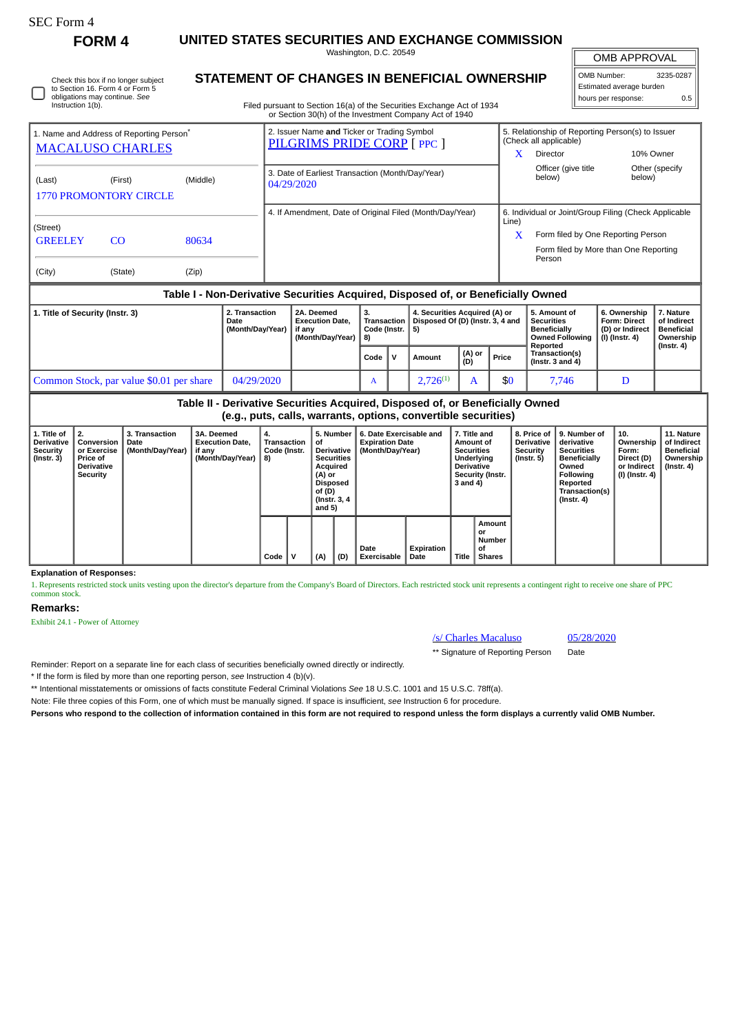# SEC Form 4

Instruction 1(b).

Check this box if no longer subject to Section 16. Form 4 or Form 5 obligations may continue. *See*

**FORM 4 UNITED STATES SECURITIES AND EXCHANGE COMMISSION** Washington, D.C. 20549

OMB APPROVAL

| OMB Number:              | 3235-0287 |  |  |  |  |  |  |
|--------------------------|-----------|--|--|--|--|--|--|
| Estimated average burden |           |  |  |  |  |  |  |
| hours per response:      | 0.5       |  |  |  |  |  |  |

**STATEMENT OF CHANGES IN BENEFICIAL OWNERSHIP**

Filed pursuant to Section 16(a) of the Securities Exchange Act of 1934 or Section 30(h) of the Investment Company Act of 1940

| 1. Name and Address of Reporting Person <sup>®</sup><br><b>MACALUSO CHARLES</b>  |         |          | 2. Issuer Name and Ticker or Trading Symbol<br>PILGRIMS PRIDE CORP [ PPC ] |                                                       | 5. Relationship of Reporting Person(s) to Issuer<br>(Check all applicable) |                          |  |  |  |
|----------------------------------------------------------------------------------|---------|----------|----------------------------------------------------------------------------|-------------------------------------------------------|----------------------------------------------------------------------------|--------------------------|--|--|--|
|                                                                                  |         |          |                                                                            | X                                                     | <b>Director</b>                                                            | 10% Owner                |  |  |  |
| (Last)<br><b>1770 PROMONTORY CIRCLE</b>                                          | (First) | (Middle) | 3. Date of Earliest Transaction (Month/Day/Year)<br>04/29/2020             |                                                       | Officer (give title<br>below)                                              | Other (specify<br>below) |  |  |  |
|                                                                                  |         |          | 4. If Amendment, Date of Original Filed (Month/Day/Year)                   | 6. Individual or Joint/Group Filing (Check Applicable |                                                                            |                          |  |  |  |
| (Street)                                                                         |         |          |                                                                            | Line)                                                 |                                                                            |                          |  |  |  |
| <b>GREELEY</b><br>80634<br>CO                                                    |         |          |                                                                            | $\mathbf x$                                           | Form filed by One Reporting Person                                         |                          |  |  |  |
|                                                                                  |         |          |                                                                            |                                                       | Form filed by More than One Reporting<br>Person                            |                          |  |  |  |
| (City)                                                                           | (State) | (Zip)    |                                                                            |                                                       |                                                                            |                          |  |  |  |
| Table I - Non-Derivative Securities Acquired, Disposed of, or Beneficially Owned |         |          |                                                                            |                                                       |                                                                            |                          |  |  |  |
|                                                                                  |         |          |                                                                            |                                                       |                                                                            |                          |  |  |  |

| 1. Title of Security (Instr. 3)          | 2. Transaction<br>Date<br>(Month/Dav/Year) | 2A. Deemed<br><b>Execution Date.</b><br>if anv<br>(Month/Dav/Year) | -5.<br>Code (Instr.   5) |  | 4. Securities Acquired (A) or<br>Transaction $\vert$ Disposed Of (D) (Instr. 3, 4 and |               |       | 5. Amount of<br><b>Securities</b><br><b>Beneficially</b><br>Owned Following   (I) (Instr. 4)<br>Reported | 6. Ownership<br><b>Form: Direct</b><br>(D) or Indirect | . Nature<br>of Indirect<br><b>Beneficial</b><br>Ownership |
|------------------------------------------|--------------------------------------------|--------------------------------------------------------------------|--------------------------|--|---------------------------------------------------------------------------------------|---------------|-------|----------------------------------------------------------------------------------------------------------|--------------------------------------------------------|-----------------------------------------------------------|
|                                          |                                            |                                                                    | Code $\mathsf{V}$        |  | Amount                                                                                | (A) or<br>(D) | Price | Transaction(s)<br>(Instr. $3$ and $4$ )                                                                  |                                                        | $($ Instr. 4 $)$                                          |
| Common Stock, par value \$0.01 per share | 04/29/2020                                 |                                                                    | $\mathbf{A}$             |  | $2.726^{(1)}$                                                                         |               | \$0   | 7.746                                                                                                    |                                                        |                                                           |

**Table II - Derivative Securities Acquired, Disposed of, or Beneficially Owned (e.g., puts, calls, warrants, options, convertible securities)**

| 1. Title of<br><b>Derivative</b><br><b>Security</b><br>$($ Instr. 3 $)$ | l 2.<br>Conversion<br>or Exercise<br><b>Price of</b><br><b>Derivative</b><br>Security | 3. Transaction<br>Date<br>(Month/Day/Year) | 3A. Deemed<br><b>Execution Date,</b><br>if any<br>(Month/Day/Year) | 4.<br>Transaction<br>Code (Instr.<br>8) |   | 5. Number<br>οf<br><b>Derivative</b><br><b>Securities</b><br>Acquired<br>(A) or<br><b>Disposed</b><br>of (D)<br>(Instr. 3, 4)<br>and $5)$ |     | 6. Date Exercisable and<br><b>Expiration Date</b><br>(Month/Day/Year) | 7. Title and<br>Amount of<br><b>Securities</b><br>Underlying<br><b>Derivative</b><br>Security (Instr.<br>3 and 4) |              | 8. Price of<br><b>Derivative</b><br>Security<br>(Instr. 5) | 9. Number of<br>derivative<br><b>Securities</b><br><b>Beneficially</b><br>Owned<br>Following<br>Reported<br>Transaction(s)<br>$($ Instr. 4 $)$ | 10.<br>Ownership<br>Form:<br>Direct (D)<br>or Indirect<br>(I) (Instr. 4) | 11. Nature<br>of Indirect<br><b>Beneficial</b><br>Ownership<br>(Instr. 4) |  |
|-------------------------------------------------------------------------|---------------------------------------------------------------------------------------|--------------------------------------------|--------------------------------------------------------------------|-----------------------------------------|---|-------------------------------------------------------------------------------------------------------------------------------------------|-----|-----------------------------------------------------------------------|-------------------------------------------------------------------------------------------------------------------|--------------|------------------------------------------------------------|------------------------------------------------------------------------------------------------------------------------------------------------|--------------------------------------------------------------------------|---------------------------------------------------------------------------|--|
|                                                                         |                                                                                       |                                            |                                                                    | Code                                    | v | (A)                                                                                                                                       | (D) | Date<br><b>Exercisable</b>                                            | Expiration<br>Date                                                                                                | <b>Title</b> | Amount<br>or<br>Number<br>οf<br><b>Shares</b>              |                                                                                                                                                |                                                                          |                                                                           |  |

**Explanation of Responses:**

1. Represents restricted stock units vesting upon the director's departure from the Company's Board of Directors. Each restricted stock unit represents a contingent right to receive one share of PPC common stock.

### **Remarks:**

Exhibit 24.1 - Power of Attorney

## /s/ Charles Macaluso 05/28/2020

\*\* Signature of Reporting Person Date

Reminder: Report on a separate line for each class of securities beneficially owned directly or indirectly.

\* If the form is filed by more than one reporting person, *see* Instruction 4 (b)(v).

\*\* Intentional misstatements or omissions of facts constitute Federal Criminal Violations *See* 18 U.S.C. 1001 and 15 U.S.C. 78ff(a).

Note: File three copies of this Form, one of which must be manually signed. If space is insufficient, *see* Instruction 6 for procedure.

**Persons who respond to the collection of information contained in this form are not required to respond unless the form displays a currently valid OMB Number.**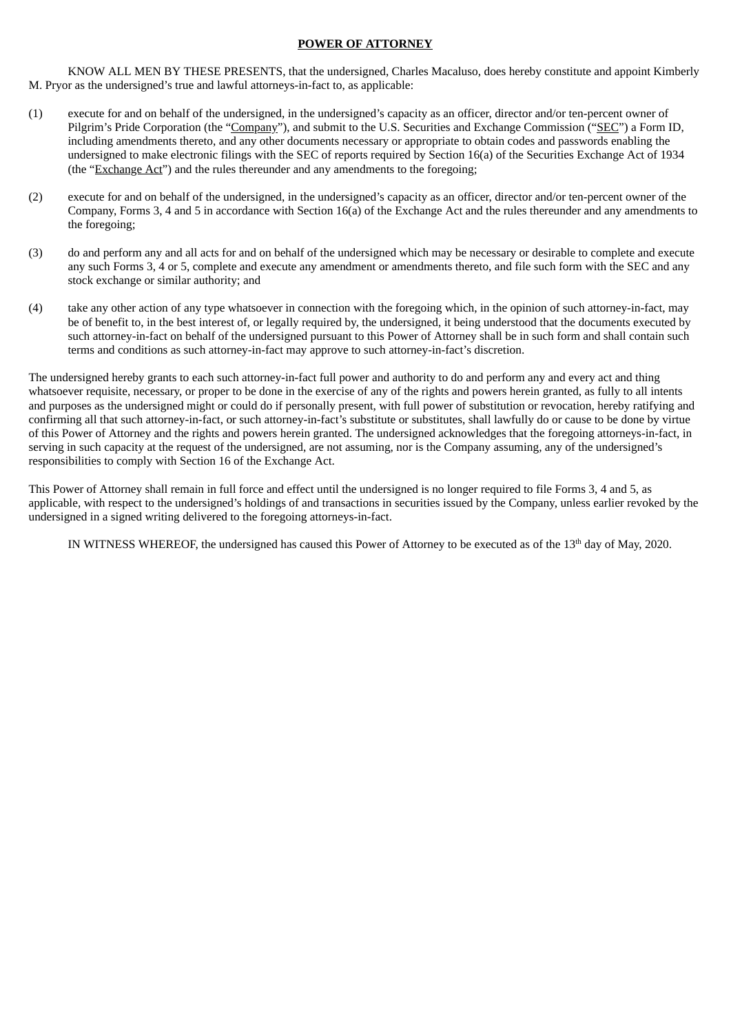## **POWER OF ATTORNEY**

KNOW ALL MEN BY THESE PRESENTS, that the undersigned, Charles Macaluso, does hereby constitute and appoint Kimberly M. Pryor as the undersigned's true and lawful attorneys-in-fact to, as applicable:

- (1) execute for and on behalf of the undersigned, in the undersigned's capacity as an officer, director and/or ten-percent owner of Pilgrim's Pride Corporation (the "Company"), and submit to the U.S. Securities and Exchange Commission ("SEC") a Form ID, including amendments thereto, and any other documents necessary or appropriate to obtain codes and passwords enabling the undersigned to make electronic filings with the SEC of reports required by Section 16(a) of the Securities Exchange Act of 1934 (the "Exchange Act") and the rules thereunder and any amendments to the foregoing;
- (2) execute for and on behalf of the undersigned, in the undersigned's capacity as an officer, director and/or ten-percent owner of the Company, Forms 3, 4 and 5 in accordance with Section 16(a) of the Exchange Act and the rules thereunder and any amendments to the foregoing;
- (3) do and perform any and all acts for and on behalf of the undersigned which may be necessary or desirable to complete and execute any such Forms 3, 4 or 5, complete and execute any amendment or amendments thereto, and file such form with the SEC and any stock exchange or similar authority; and
- (4) take any other action of any type whatsoever in connection with the foregoing which, in the opinion of such attorney-in-fact, may be of benefit to, in the best interest of, or legally required by, the undersigned, it being understood that the documents executed by such attorney-in-fact on behalf of the undersigned pursuant to this Power of Attorney shall be in such form and shall contain such terms and conditions as such attorney-in-fact may approve to such attorney-in-fact's discretion.

The undersigned hereby grants to each such attorney-in-fact full power and authority to do and perform any and every act and thing whatsoever requisite, necessary, or proper to be done in the exercise of any of the rights and powers herein granted, as fully to all intents and purposes as the undersigned might or could do if personally present, with full power of substitution or revocation, hereby ratifying and confirming all that such attorney-in-fact, or such attorney-in-fact's substitute or substitutes, shall lawfully do or cause to be done by virtue of this Power of Attorney and the rights and powers herein granted. The undersigned acknowledges that the foregoing attorneys-in-fact, in serving in such capacity at the request of the undersigned, are not assuming, nor is the Company assuming, any of the undersigned's responsibilities to comply with Section 16 of the Exchange Act.

This Power of Attorney shall remain in full force and effect until the undersigned is no longer required to file Forms 3, 4 and 5, as applicable, with respect to the undersigned's holdings of and transactions in securities issued by the Company, unless earlier revoked by the undersigned in a signed writing delivered to the foregoing attorneys-in-fact.

IN WITNESS WHEREOF, the undersigned has caused this Power of Attorney to be executed as of the  $13<sup>th</sup>$  day of May, 2020.